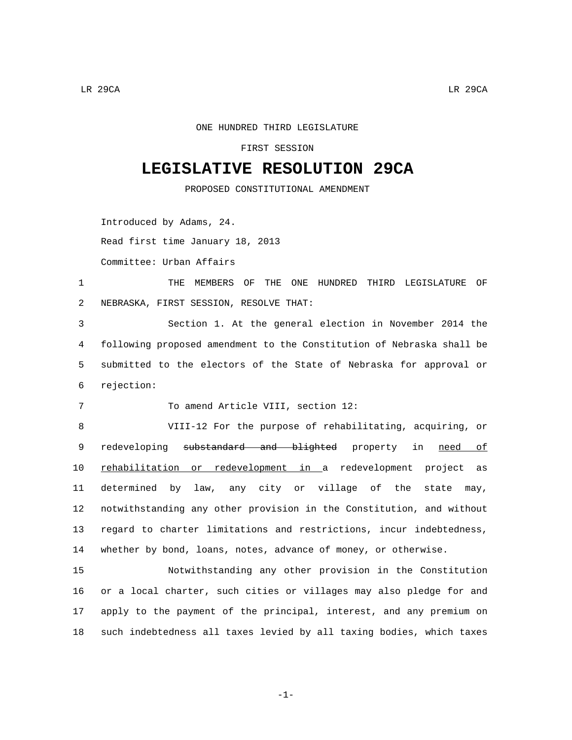ONE HUNDRED THIRD LEGISLATURE

FIRST SESSION

## **LEGISLATIVE RESOLUTION 29CA**

PROPOSED CONSTITUTIONAL AMENDMENT

Introduced by Adams, 24.

Read first time January 18, 2013

Committee: Urban Affairs

1 THE MEMBERS OF THE ONE HUNDRED THIRD LEGISLATURE OF NEBRASKA, FIRST SESSION, RESOLVE THAT:2

 Section 1. At the general election in November 2014 the following proposed amendment to the Constitution of Nebraska shall be submitted to the electors of the State of Nebraska for approval or rejection:6

To amend Article VIII, section 12:

 VIII-12 For the purpose of rehabilitating, acquiring, or 9 redeveloping substandard and blighted property in need of rehabilitation or redevelopment in a redevelopment project as determined by law, any city or village of the state may, notwithstanding any other provision in the Constitution, and without regard to charter limitations and restrictions, incur indebtedness, whether by bond, loans, notes, advance of money, or otherwise.

 Notwithstanding any other provision in the Constitution or a local charter, such cities or villages may also pledge for and apply to the payment of the principal, interest, and any premium on such indebtedness all taxes levied by all taxing bodies, which taxes

-1-